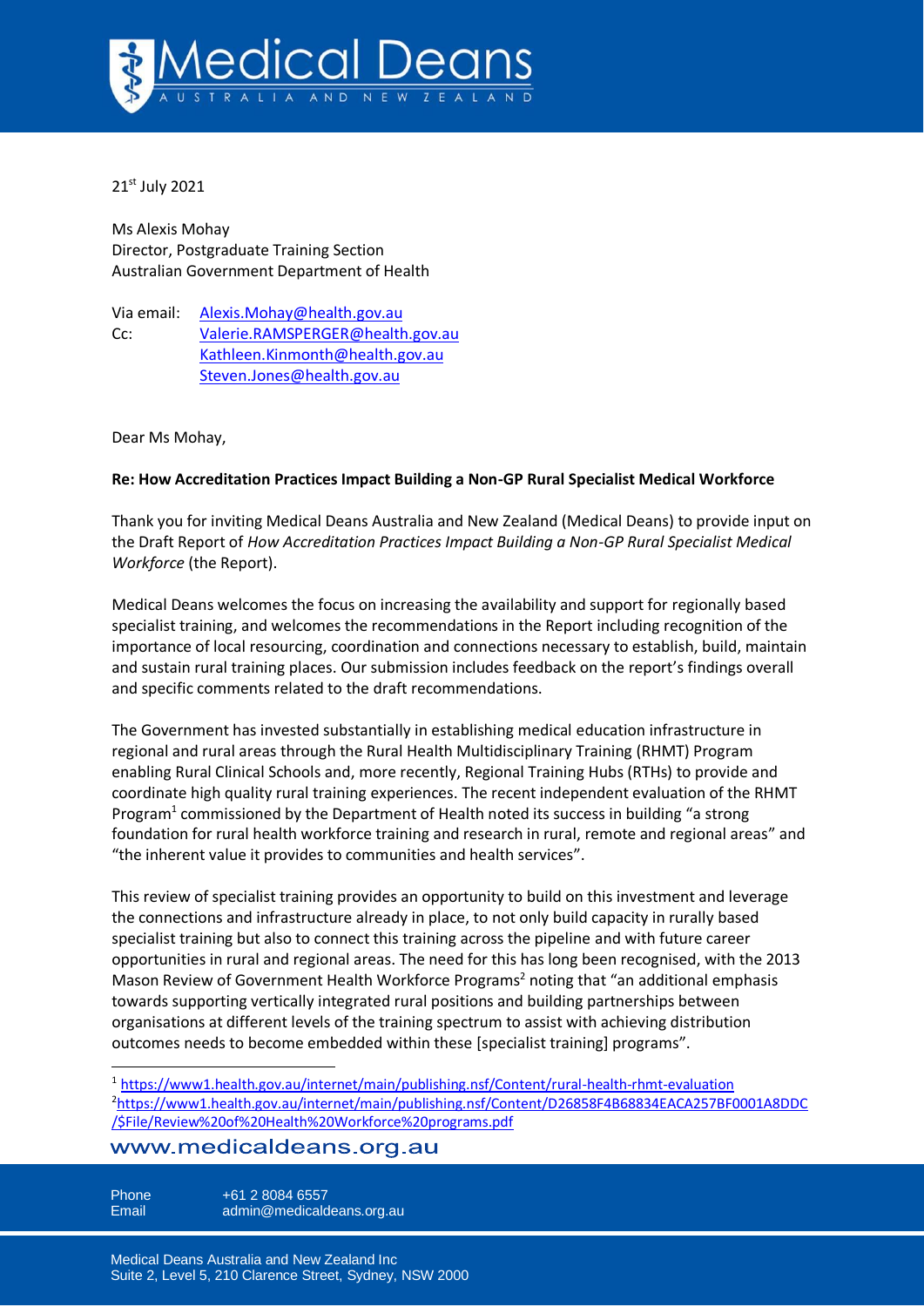

21st July 2021

Ms Alexis Mohay Director, Postgraduate Training Section Australian Government Department of Health

Via email: [Alexis.Mohay@health.gov.au](mailto:Alexis.Mohay@health.gov.au) Cc: [Valerie.RAMSPERGER@health.gov.au](mailto:Valerie.RAMSPERGER@health.gov.au) [Kathleen.Kinmonth@health.gov.au](mailto:Kathleen.Kinmonth@health.gov.au) [Steven.Jones@health.gov.au](mailto:Steven.Jones@health.gov.au)

Dear Ms Mohay,

## **Re: How Accreditation Practices Impact Building a Non-GP Rural Specialist Medical Workforce**

Thank you for inviting Medical Deans Australia and New Zealand (Medical Deans) to provide input on the Draft Report of *How Accreditation Practices Impact Building a Non-GP Rural Specialist Medical Workforce* (the Report).

Medical Deans welcomes the focus on increasing the availability and support for regionally based specialist training, and welcomes the recommendations in the Report including recognition of the importance of local resourcing, coordination and connections necessary to establish, build, maintain and sustain rural training places. Our submission includes feedback on the report's findings overall and specific comments related to the draft recommendations.

The Government has invested substantially in establishing medical education infrastructure in regional and rural areas through the Rural Health Multidisciplinary Training (RHMT) Program enabling Rural Clinical Schools and, more recently, Regional Training Hubs (RTHs) to provide and coordinate high quality rural training experiences. The recent independent evaluation of the RHMT Program<sup>1</sup> commissioned by the Department of Health noted its success in building "a strong foundation for rural health workforce training and research in rural, remote and regional areas" and "the inherent value it provides to communities and health services".

This review of specialist training provides an opportunity to build on this investment and leverage the connections and infrastructure already in place, to not only build capacity in rurally based specialist training but also to connect this training across the pipeline and with future career opportunities in rural and regional areas. The need for this has long been recognised, with the 2013 Mason Review of Government Health Workforce Programs<sup>2</sup> noting that "an additional emphasis towards supporting vertically integrated rural positions and building partnerships between organisations at different levels of the training spectrum to assist with achieving distribution outcomes needs to become embedded within these [specialist training] programs".

<sup>1</sup> <https://www1.health.gov.au/internet/main/publishing.nsf/Content/rural-health-rhmt-evaluation> <sup>2</sup>[https://www1.health.gov.au/internet/main/publishing.nsf/Content/D26858F4B68834EACA257BF0001A8DDC](https://www1.health.gov.au/internet/main/publishing.nsf/Content/D26858F4B68834EACA257BF0001A8DDC/$File/Review%20of%20Health%20Workforce%20programs.pdf) [/\\$File/Review%20of%20Health%20Workforce%20programs.pdf](https://www1.health.gov.au/internet/main/publishing.nsf/Content/D26858F4B68834EACA257BF0001A8DDC/$File/Review%20of%20Health%20Workforce%20programs.pdf)

## www.medicaldeans.org.au

Phone  $+61 2 8084 6557$ Email admin@medicaldeans.org.au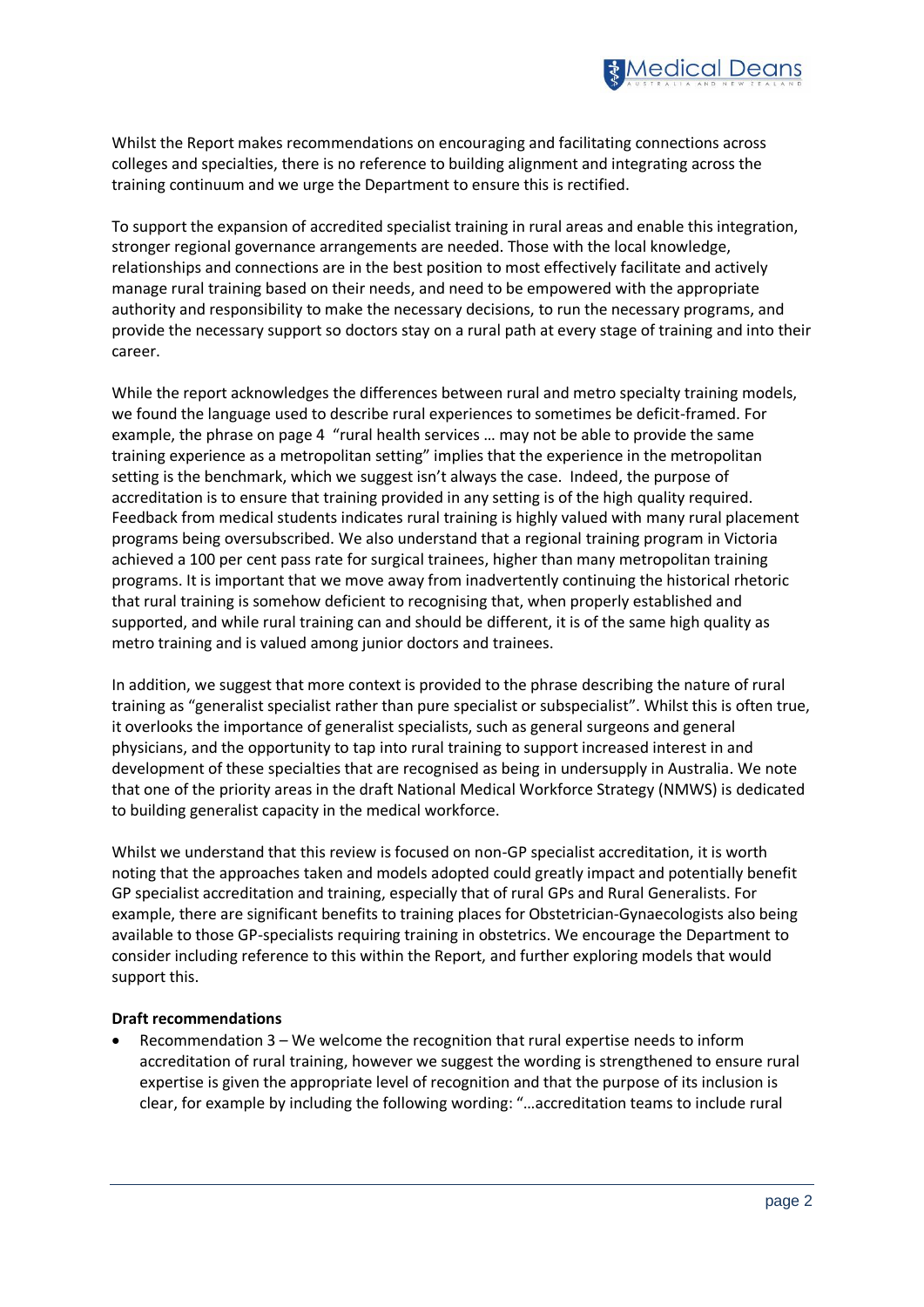

Whilst the Report makes recommendations on encouraging and facilitating connections across colleges and specialties, there is no reference to building alignment and integrating across the training continuum and we urge the Department to ensure this is rectified.

To support the expansion of accredited specialist training in rural areas and enable this integration, stronger regional governance arrangements are needed. Those with the local knowledge, relationships and connections are in the best position to most effectively facilitate and actively manage rural training based on their needs, and need to be empowered with the appropriate authority and responsibility to make the necessary decisions, to run the necessary programs, and provide the necessary support so doctors stay on a rural path at every stage of training and into their career.

While the report acknowledges the differences between rural and metro specialty training models, we found the language used to describe rural experiences to sometimes be deficit-framed. For example, the phrase on page 4 "rural health services … may not be able to provide the same training experience as a metropolitan setting" implies that the experience in the metropolitan setting is the benchmark, which we suggest isn't always the case. Indeed, the purpose of accreditation is to ensure that training provided in any setting is of the high quality required. Feedback from medical students indicates rural training is highly valued with many rural placement programs being oversubscribed. We also understand that a regional training program in Victoria achieved a 100 per cent pass rate for surgical trainees, higher than many metropolitan training programs. It is important that we move away from inadvertently continuing the historical rhetoric that rural training is somehow deficient to recognising that, when properly established and supported, and while rural training can and should be different, it is of the same high quality as metro training and is valued among junior doctors and trainees.

In addition, we suggest that more context is provided to the phrase describing the nature of rural training as "generalist specialist rather than pure specialist or subspecialist". Whilst this is often true, it overlooks the importance of generalist specialists, such as general surgeons and general physicians, and the opportunity to tap into rural training to support increased interest in and development of these specialties that are recognised as being in undersupply in Australia. We note that one of the priority areas in the draft National Medical Workforce Strategy (NMWS) is dedicated to building generalist capacity in the medical workforce.

Whilst we understand that this review is focused on non-GP specialist accreditation, it is worth noting that the approaches taken and models adopted could greatly impact and potentially benefit GP specialist accreditation and training, especially that of rural GPs and Rural Generalists. For example, there are significant benefits to training places for Obstetrician-Gynaecologists also being available to those GP-specialists requiring training in obstetrics. We encourage the Department to consider including reference to this within the Report, and further exploring models that would support this.

## **Draft recommendations**

• Recommendation 3 – We welcome the recognition that rural expertise needs to inform accreditation of rural training, however we suggest the wording is strengthened to ensure rural expertise is given the appropriate level of recognition and that the purpose of its inclusion is clear, for example by including the following wording: "…accreditation teams to include rural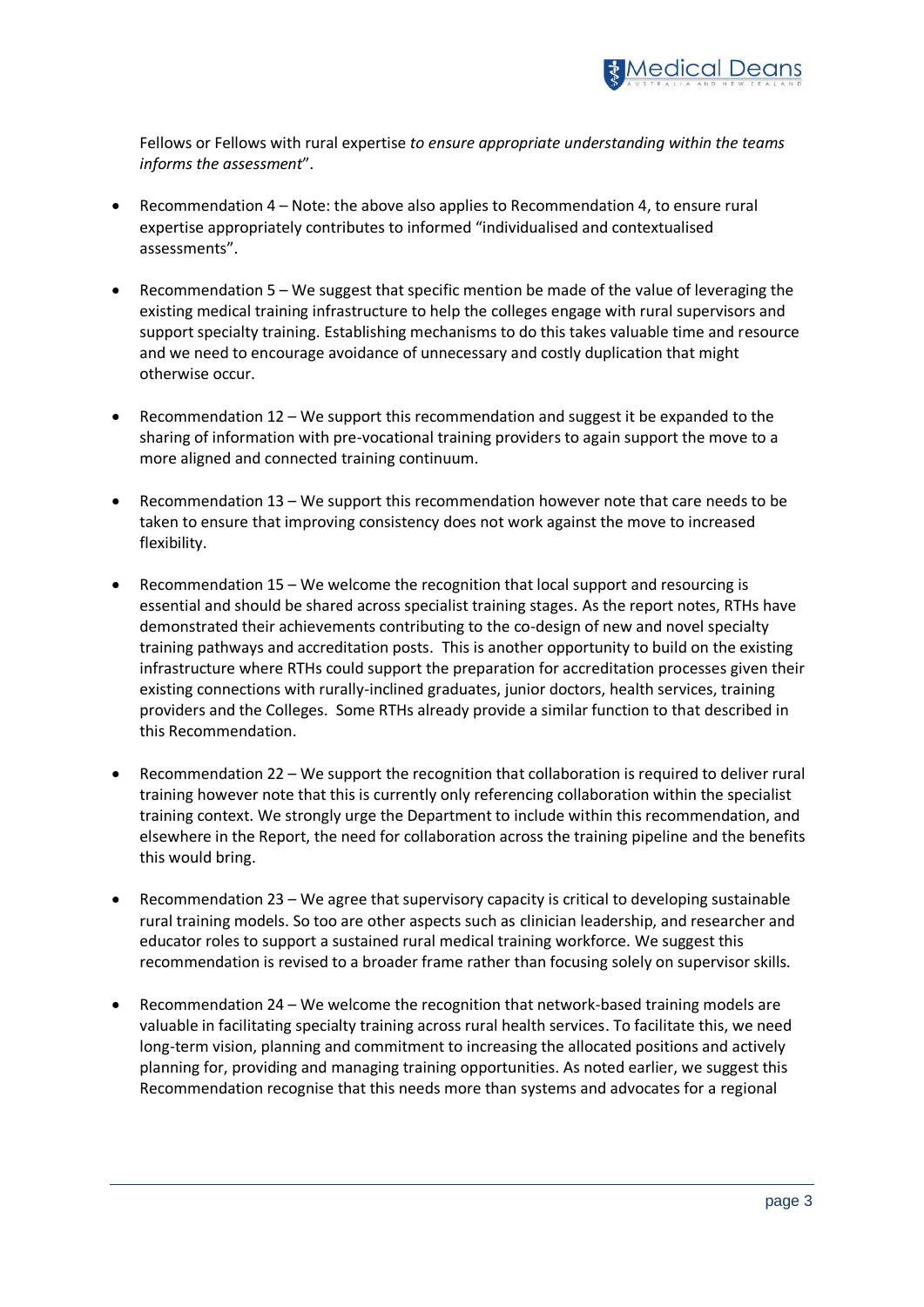

Fellows or Fellows with rural expertise *to ensure appropriate understanding within the teams informs the assessment*".

- Recommendation 4 Note: the above also applies to Recommendation 4, to ensure rural expertise appropriately contributes to informed "individualised and contextualised assessments".
- Recommendation 5 We suggest that specific mention be made of the value of leveraging the existing medical training infrastructure to help the colleges engage with rural supervisors and support specialty training. Establishing mechanisms to do this takes valuable time and resource and we need to encourage avoidance of unnecessary and costly duplication that might otherwise occur.
- Recommendation  $12 -$  We support this recommendation and suggest it be expanded to the sharing of information with pre-vocational training providers to again support the move to a more aligned and connected training continuum.
- Recommendation 13 We support this recommendation however note that care needs to be taken to ensure that improving consistency does not work against the move to increased flexibility.
- Recommendation 15 We welcome the recognition that local support and resourcing is essential and should be shared across specialist training stages. As the report notes, RTHs have demonstrated their achievements contributing to the co-design of new and novel specialty training pathways and accreditation posts. This is another opportunity to build on the existing infrastructure where RTHs could support the preparation for accreditation processes given their existing connections with rurally-inclined graduates, junior doctors, health services, training providers and the Colleges. Some RTHs already provide a similar function to that described in this Recommendation.
- Recommendation 22 We support the recognition that collaboration is required to deliver rural training however note that this is currently only referencing collaboration within the specialist training context. We strongly urge the Department to include within this recommendation, and elsewhere in the Report, the need for collaboration across the training pipeline and the benefits this would bring.
- Recommendation 23 We agree that supervisory capacity is critical to developing sustainable rural training models. So too are other aspects such as clinician leadership, and researcher and educator roles to support a sustained rural medical training workforce. We suggest this recommendation is revised to a broader frame rather than focusing solely on supervisor skills.
- Recommendation 24 We welcome the recognition that network-based training models are valuable in facilitating specialty training across rural health services. To facilitate this, we need long-term vision, planning and commitment to increasing the allocated positions and actively planning for, providing and managing training opportunities. As noted earlier, we suggest this Recommendation recognise that this needs more than systems and advocates for a regional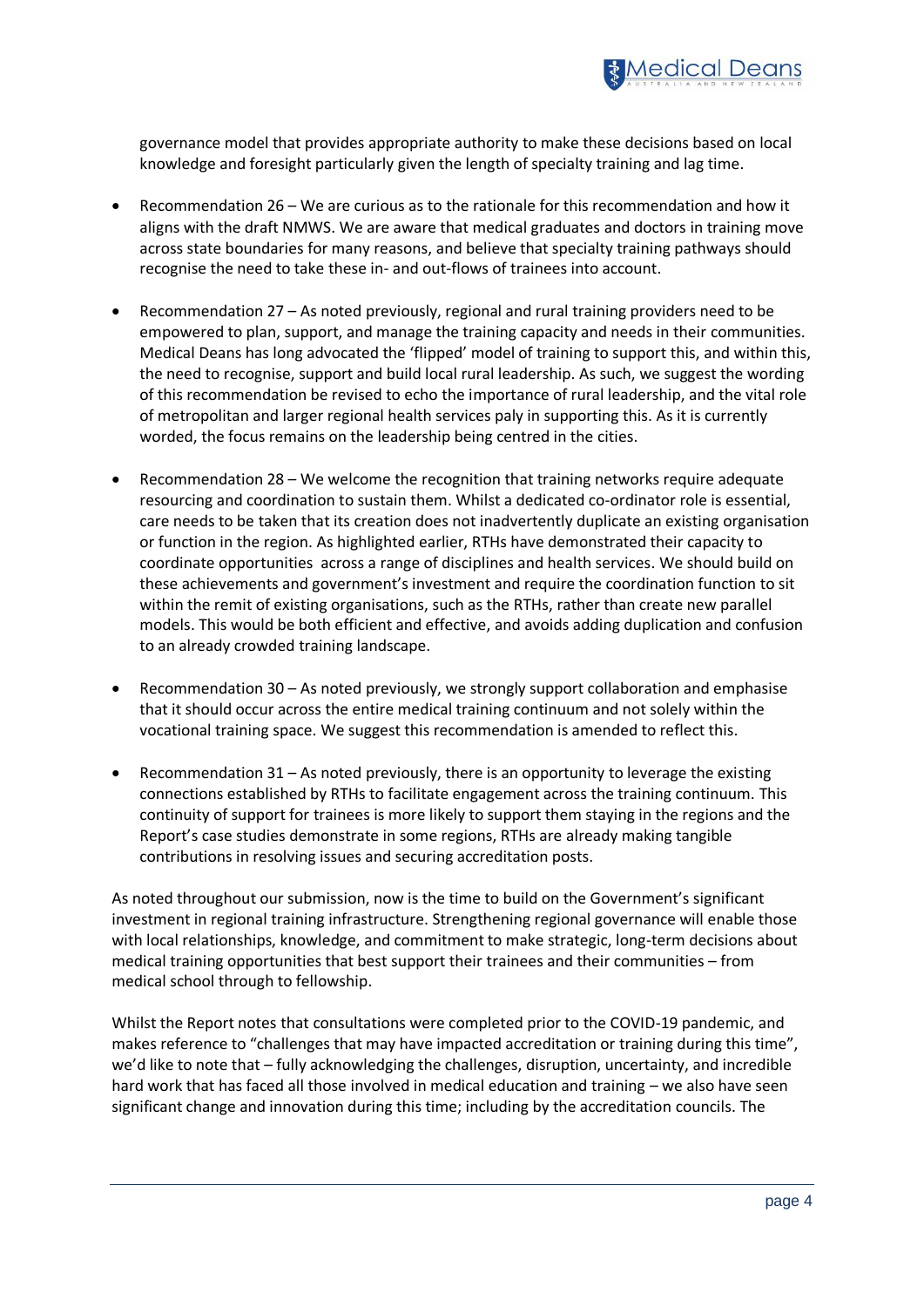

governance model that provides appropriate authority to make these decisions based on local knowledge and foresight particularly given the length of specialty training and lag time.

- Recommendation 26 We are curious as to the rationale for this recommendation and how it aligns with the draft NMWS. We are aware that medical graduates and doctors in training move across state boundaries for many reasons, and believe that specialty training pathways should recognise the need to take these in- and out-flows of trainees into account.
- Recommendation 27 As noted previously, regional and rural training providers need to be empowered to plan, support, and manage the training capacity and needs in their communities. Medical Deans has long advocated the 'flipped' model of training to support this, and within this, the need to recognise, support and build local rural leadership. As such, we suggest the wording of this recommendation be revised to echo the importance of rural leadership, and the vital role of metropolitan and larger regional health services paly in supporting this. As it is currently worded, the focus remains on the leadership being centred in the cities.
- Recommendation 28 We welcome the recognition that training networks require adequate resourcing and coordination to sustain them. Whilst a dedicated co-ordinator role is essential, care needs to be taken that its creation does not inadvertently duplicate an existing organisation or function in the region. As highlighted earlier, RTHs have demonstrated their capacity to coordinate opportunities across a range of disciplines and health services. We should build on these achievements and government's investment and require the coordination function to sit within the remit of existing organisations, such as the RTHs, rather than create new parallel models. This would be both efficient and effective, and avoids adding duplication and confusion to an already crowded training landscape.
- Recommendation 30 As noted previously, we strongly support collaboration and emphasise that it should occur across the entire medical training continuum and not solely within the vocational training space. We suggest this recommendation is amended to reflect this.
- Recommendation 31 As noted previously, there is an opportunity to leverage the existing connections established by RTHs to facilitate engagement across the training continuum. This continuity of support for trainees is more likely to support them staying in the regions and the Report's case studies demonstrate in some regions, RTHs are already making tangible contributions in resolving issues and securing accreditation posts.

As noted throughout our submission, now is the time to build on the Government's significant investment in regional training infrastructure. Strengthening regional governance will enable those with local relationships, knowledge, and commitment to make strategic, long-term decisions about medical training opportunities that best support their trainees and their communities – from medical school through to fellowship.

Whilst the Report notes that consultations were completed prior to the COVID-19 pandemic, and makes reference to "challenges that may have impacted accreditation or training during this time", we'd like to note that – fully acknowledging the challenges, disruption, uncertainty, and incredible hard work that has faced all those involved in medical education and training – we also have seen significant change and innovation during this time; including by the accreditation councils. The